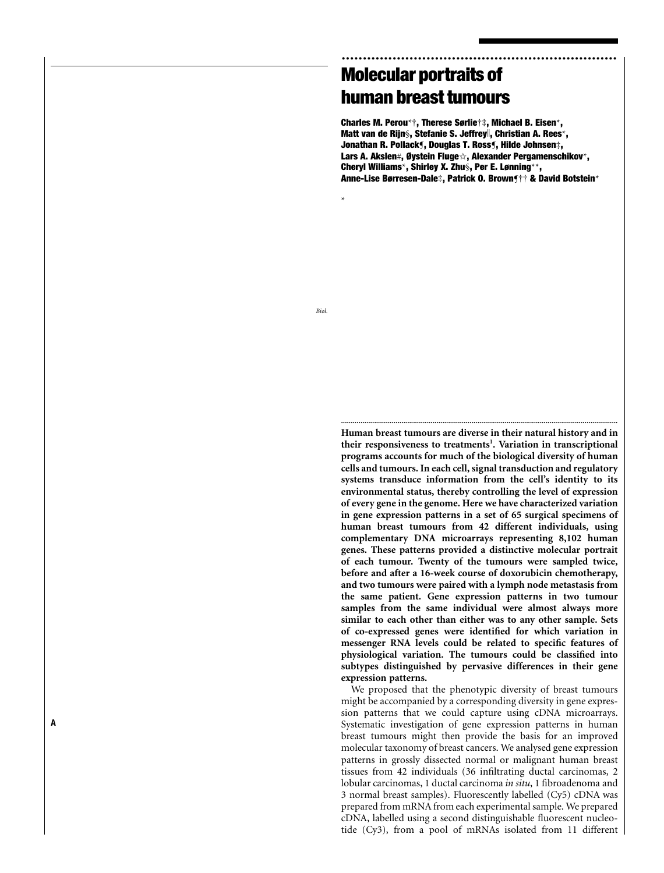## Molecular po rtraits of human breast tumours

Charles M. Perou\*†, Therese Sørlie†‡, Michael B. Eisen\*, Matt van de Rijn§, Stefanie S. Jeffrey‼, Christian A. Rees\*, Jonathan R. Pollack¶, Douglas T. Ross¶, Hilde Johnsen‡, Lars A. Akslen#, Øystein Fluge☆, Alexander Pergamenschikov\*, Cheryl Williams\*, Shirley X. Zhu§, Per E. Lønning\*\*, Anne-Lise Børresen-Dale‡, Patrick O. Brown¶†† & David Botstein\*

.................................................................

Biol.

\*

A

Human breast tumours are diverse in their natural history and in their responsiveness to treatments<sup>1</sup>. Variation in transcriptional programs accounts for much of the biological diversity of human cells and tumours. In each cell, signal transduction and regulatory systems transduce information from the cell's identity to its environmental status, thereby controlling the level of expression of every gene in the genome. Here we have characterized variation in gene expression patterns in a set of 65 surgical specimens of human breast tumours from 42 different individuals, using complementary DNA microarrays representing 8,102 human genes. These patterns provided a distinctive molecular portrait of each tumour. Twenty of the tumours were sampled twice, before and after a 16-week course of doxorubicin chemotherapy, and two tumours were paired with a lymph node metastasis from the same patient. Gene expression patterns in two tumour samples from the same individual were almost always more similar to each other than either was to any other sample. Sets of co-expressed genes were identified for which variation in messenger RNA levels could be related to specific features of physiological variation. The tumours could be classified into subtypes distinguished by pervasive differences in their gene expression patterns.

..............................................................................................................................................

We proposed that the phenotypic diversity of breast tumours might be accompanied by a corresponding diversity in gene expression patterns that we could capture using cDNA microarrays. Systematic investigation of gene expression patterns in human breast tumours might then provide the basis for an improved molecular taxonomy of breast cancers. We analysed gene expression patterns in grossly dissected normal or malignant human breast tissues from 42 individuals (36 infiltrating ductal carcinomas, 2 lobular carcinomas, 1 ductal carcinoma in situ, 1 fibroadenoma and 3 normal breast samples). Fluorescently labelled (Cy5) cDNA was prepared from mRNA from each experimental sample. We prepared cDNA, labelled using a second distinguishable fluorescent nucleotide (Cy3), from a pool of mRNAs isolated from 11 different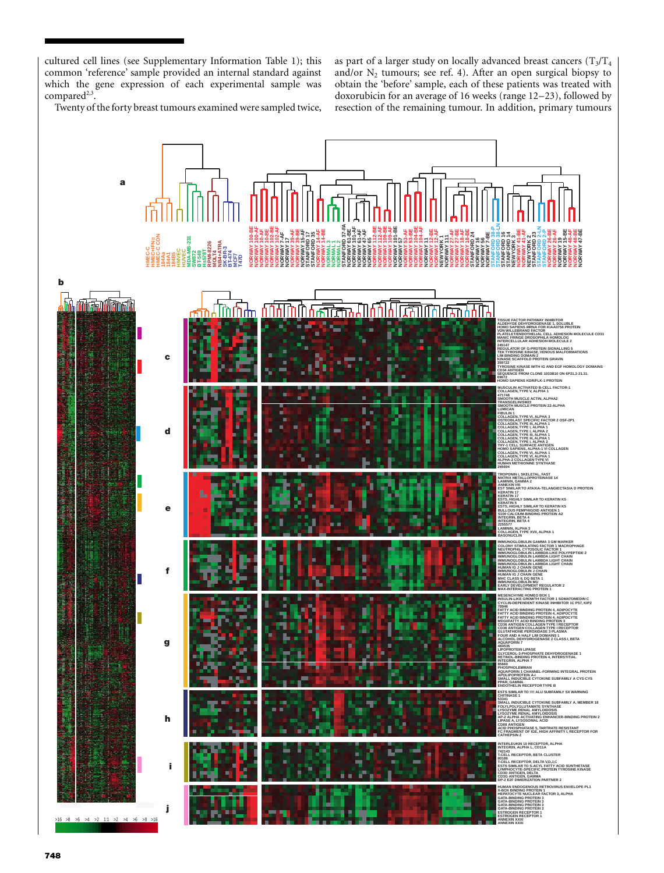cultured cell lines (see Supplementary Information Table 1); this common `reference' sample provided an internal standard against which the gene expression of each experimental sample was compared $2,3$ .

Twenty of the forty breast tumours examined were sampled twice,

as part of a larger study on locally advanced breast cancers  $(T_3/T_4)$ and/or  $N_2$  tumours; see ref. 4). After an open surgical biopsy to obtain the `before' sample, each of these patients was treated with doxorubicin for an average of 16 weeks (range  $12-23$ ), followed by resection of the remaining tumour. In addition, primary tumours

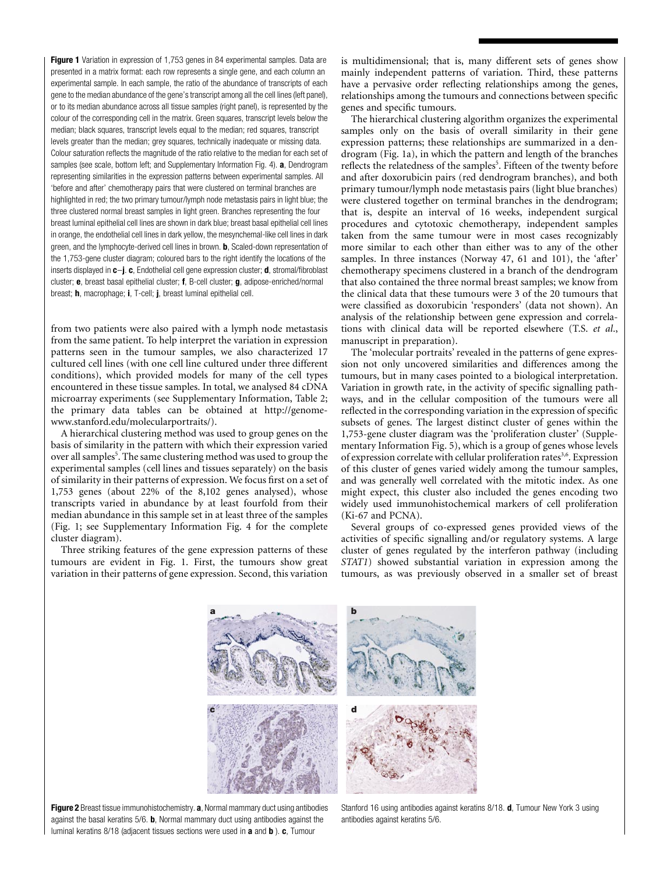Figure 1 Variation in expression of 1,753 genes in 84 experimental samples. Data are presented in a matrix format: each row represents a single gene, and each column an experimental sample. In each sample, the ratio of the abundance of transcripts of each gene to the median abundance of the gene's transcript among all the cell lines (left panel), or to its median abundance across all tissue samples (right panel), is represented by the colour of the corresponding cell in the matrix. Green squares, transcript levels below the median; black squares, transcript levels equal to the median; red squares, transcript levels greater than the median; grey squares, technically inadequate or missing data. Colour saturation reflects the magnitude of the ratio relative to the median for each set of samples (see scale, bottom left; and Supplementary Information Fig. 4). **a**, Dendrogram representing similarities in the expression patterns between experimental samples. All `before and after' chemotherapy pairs that were clustered on terminal branches are highlighted in red; the two primary tumour/lymph node metastasis pairs in light blue; the three clustered normal breast samples in light green. Branches representing the four breast luminal epithelial cell lines are shown in dark blue; breast basal epithelial cell lines in orange, the endothelial cell lines in dark yellow, the mesynchemal-like cell lines in dark green, and the lymphocyte-derived cell lines in brown. **b**, Scaled-down representation of the 1,753-gene cluster diagram; coloured bars to the right identify the locations of the inserts displayed in  $c-j$ .  $c$ , Endothelial cell gene expression cluster;  $d$ , stromal/fibroblast cluster; e, breast basal epithelial cluster; f, B-cell cluster; g, adipose-enriched/normal breast; h, macrophage; i, T-cell; j, breast luminal epithelial cell.

from two patients were also paired with a lymph node metastasis from the same patient. To help interpret the variation in expression patterns seen in the tumour samples, we also characterized 17 cultured cell lines (with one cell line cultured under three different conditions), which provided models for many of the cell types encountered in these tissue samples. In total, we analysed 84 cDNA microarray experiments (see Supplementary Information, Table 2; the primary data tables can be obtained at http://genomewww.stanford.edu/molecularportraits/).

A hierarchical clustering method was used to group genes on the basis of similarity in the pattern with which their expression varied over all samples<sup>5</sup>. The same clustering method was used to group the experimental samples (cell lines and tissues separately) on the basis of similarity in their patterns of expression. We focus first on a set of 1,753 genes (about 22% of the 8,102 genes analysed), whose transcripts varied in abundance by at least fourfold from their median abundance in this sample set in at least three of the samples (Fig. 1; see Supplementary Information Fig. 4 for the complete cluster diagram).

Three striking features of the gene expression patterns of these tumours are evident in Fig. 1. First, the tumours show great variation in their patterns of gene expression. Second, this variation is multidimensional; that is, many different sets of genes show mainly independent patterns of variation. Third, these patterns have a pervasive order reflecting relationships among the genes, relationships among the tumours and connections between specific genes and specific tumours.

The hierarchical clustering algorithm organizes the experimental samples only on the basis of overall similarity in their gene expression patterns; these relationships are summarized in a dendrogram (Fig. 1a), in which the pattern and length of the branches reflects the relatedness of the samples<sup>5</sup>. Fifteen of the twenty before and after doxorubicin pairs (red dendrogram branches), and both primary tumour/lymph node metastasis pairs (light blue branches) were clustered together on terminal branches in the dendrogram; that is, despite an interval of 16 weeks, independent surgical procedures and cytotoxic chemotherapy, independent samples taken from the same tumour were in most cases recognizably more similar to each other than either was to any of the other samples. In three instances (Norway 47, 61 and 101), the 'after' chemotherapy specimens clustered in a branch of the dendrogram that also contained the three normal breast samples; we know from the clinical data that these tumours were 3 of the 20 tumours that were classified as doxorubicin 'responders' (data not shown). An analysis of the relationship between gene expression and correlations with clinical data will be reported elsewhere (T.S. et al., manuscript in preparation).

The `molecular portraits' revealed in the patterns of gene expression not only uncovered similarities and differences among the tumours, but in many cases pointed to a biological interpretation. Variation in growth rate, in the activity of specific signalling pathways, and in the cellular composition of the tumours were all reflected in the corresponding variation in the expression of specific subsets of genes. The largest distinct cluster of genes within the 1,753-gene cluster diagram was the `proliferation cluster' (Supplementary Information Fig. 5), which is a group of genes whose levels of expression correlate with cellular proliferation rates<sup>3,6</sup>. Expression of this cluster of genes varied widely among the tumour samples, and was generally well correlated with the mitotic index. As one might expect, this cluster also included the genes encoding two widely used immunohistochemical markers of cell proliferation (Ki-67 and PCNA).

Several groups of co-expressed genes provided views of the activities of specific signalling and/or regulatory systems. A large cluster of genes regulated by the interferon pathway (including STAT1) showed substantial variation in expression among the tumours, as was previously observed in a smaller set of breast



Figure 2 Breast tissue immunohistochemistry. a, Normal mammary duct using antibodies against the basal keratins 5/6. b, Normal mammary duct using antibodies against the luminal keratins 8/18 (adjacent tissues sections were used in **a** and **b**). **c**, Tumour

Stanford 16 using antibodies against keratins 8/18. **d**, Tumour New York 3 using antibodies against keratins 5/6.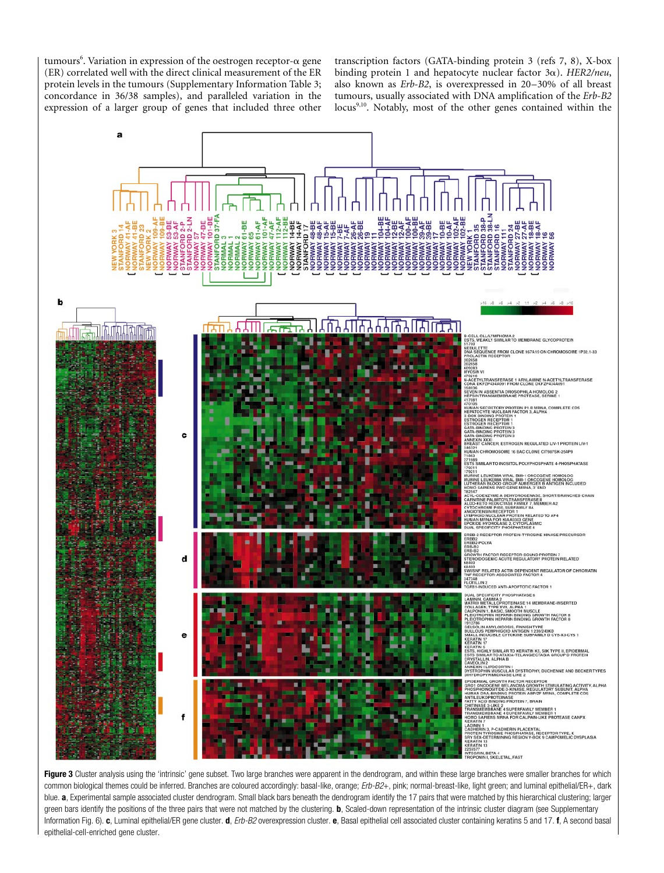tumours $^6$ . Variation in expression of the oestrogen receptor- $\alpha$  gene (ER) correlated well with the direct clinical measurement of the ER protein levels in the tumours (Supplementary Information Table 3; concordance in 36/38 samples), and paralleled variation in the expression of a larger group of genes that included three other transcription factors (GATA-binding protein 3 (refs 7, 8), X-box binding protein 1 and hepatocyte nuclear factor  $3\alpha$ ). HER2/neu, also known as  $Erb-B2$ , is overexpressed in 20-30% of all breast tumours, usually associated with DNA amplification of the Erb-B2 locus<sup>9,10</sup>. Notably, most of the other genes contained within the



Figure 3 Cluster analysis using the 'intrinsic' gene subset. Two large branches were apparent in the dendrogram, and within these large branches were smaller branches for which common biological themes could be inferred. Branches are coloured accordingly: basal-like, orange; Erb-B2+, pink; normal-breast-like, light green; and luminal epithelial/ER+, dark blue. a, Experimental sample associated cluster dendrogram. Small black bars beneath the dendrogram identify the 17 pairs that were matched by this hierarchical clustering; larger green bars identify the positions of the three pairs that were not matched by the clustering. b, Scaled-down representation of the intrinsic cluster diagram (see Supplementary Information Fig. 6). c, Luminal epithelial/ER gene cluster. d, Erb-B2 overexpression cluster. e, Basal epithelial cell associated cluster containing keratins 5 and 17. f, A second basal epithelial-cell-enriched gene cluster.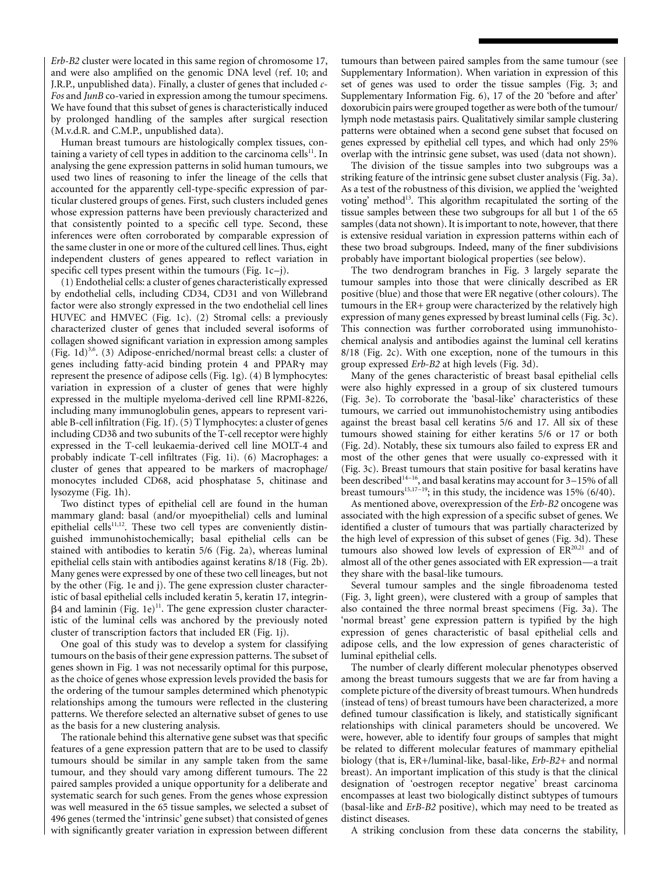Erb-B2 cluster were located in this same region of chromosome 17, and were also amplified on the genomic DNA level (ref. 10; and J.R.P., unpublished data). Finally, a cluster of genes that included c-Fos and JunB co-varied in expression among the tumour specimens. We have found that this subset of genes is characteristically induced by prolonged handling of the samples after surgical resection (M.v.d.R. and C.M.P., unpublished data).

Human breast tumours are histologically complex tissues, containing a variety of cell types in addition to the carcinoma cells $11$ . In analysing the gene expression patterns in solid human tumours, we used two lines of reasoning to infer the lineage of the cells that accounted for the apparently cell-type-specific expression of particular clustered groups of genes. First, such clusters included genes whose expression patterns have been previously characterized and that consistently pointed to a specific cell type. Second, these inferences were often corroborated by comparable expression of the same cluster in one or more of the cultured cell lines. Thus, eight independent clusters of genes appeared to reflect variation in specific cell types present within the tumours (Fig.  $1c-j$ ).

(1) Endothelial cells: a cluster of genes characteristically expressed by endothelial cells, including CD34, CD31 and von Willebrand factor were also strongly expressed in the two endothelial cell lines HUVEC and HMVEC (Fig. 1c). (2) Stromal cells: a previously characterized cluster of genes that included several isoforms of collagen showed significant variation in expression among samples (Fig. 1d)<sup>3,6</sup>. (3) Adipose-enriched/normal breast cells: a cluster of genes including fatty-acid binding protein 4 and PPARg may represent the presence of adipose cells (Fig. 1g). (4) B lymphocytes: variation in expression of a cluster of genes that were highly expressed in the multiple myeloma-derived cell line RPMI-8226, including many immunoglobulin genes, appears to represent variable B-cell infiltration (Fig. 1f). (5) T lymphocytes: a cluster of genes including CD3d and two subunits of the T-cell receptor were highly expressed in the T-cell leukaemia-derived cell line MOLT-4 and probably indicate T-cell infiltrates (Fig. 1i). (6) Macrophages: a cluster of genes that appeared to be markers of macrophage/ monocytes included CD68, acid phosphatase 5, chitinase and lysozyme (Fig. 1h).

Two distinct types of epithelial cell are found in the human mammary gland: basal (and/or myoepithelial) cells and luminal epithelial cells<sup>11,12</sup>. These two cell types are conveniently distinguished immunohistochemically; basal epithelial cells can be stained with antibodies to keratin 5/6 (Fig. 2a), whereas luminal epithelial cells stain with antibodies against keratins 8/18 (Fig. 2b). Many genes were expressed by one of these two cell lineages, but not by the other (Fig. 1e and j). The gene expression cluster characteristic of basal epithelial cells included keratin 5, keratin 17, integrin- $\beta$ 4 and laminin (Fig. 1e)<sup>11</sup>. The gene expression cluster characteristic of the luminal cells was anchored by the previously noted cluster of transcription factors that included ER (Fig. 1j).

One goal of this study was to develop a system for classifying tumours on the basis of their gene expression patterns. The subset of genes shown in Fig. 1 was not necessarily optimal for this purpose, as the choice of genes whose expression levels provided the basis for the ordering of the tumour samples determined which phenotypic relationships among the tumours were reflected in the clustering patterns. We therefore selected an alternative subset of genes to use as the basis for a new clustering analysis.

The rationale behind this alternative gene subset was that specific features of a gene expression pattern that are to be used to classify tumours should be similar in any sample taken from the same tumour, and they should vary among different tumours. The 22 paired samples provided a unique opportunity for a deliberate and systematic search for such genes. From the genes whose expression was well measured in the 65 tissue samples, we selected a subset of 496 genes (termed the `intrinsic' gene subset) that consisted of genes with significantly greater variation in expression between different

tumours than between paired samples from the same tumour (see Supplementary Information). When variation in expression of this set of genes was used to order the tissue samples (Fig. 3; and Supplementary Information Fig. 6), 17 of the 20 'before and after' doxorubicin pairs were grouped together as were both of the tumour/ lymph node metastasis pairs. Qualitatively similar sample clustering patterns were obtained when a second gene subset that focused on genes expressed by epithelial cell types, and which had only 25% overlap with the intrinsic gene subset, was used (data not shown).

The division of the tissue samples into two subgroups was a striking feature of the intrinsic gene subset cluster analysis (Fig. 3a). As a test of the robustness of this division, we applied the `weighted voting' method<sup>13</sup>. This algorithm recapitulated the sorting of the tissue samples between these two subgroups for all but 1 of the 65 samples (data not shown). It is important to note, however, that there is extensive residual variation in expression patterns within each of these two broad subgroups. Indeed, many of the finer subdivisions probably have important biological properties (see below).

The two dendrogram branches in Fig. 3 largely separate the tumour samples into those that were clinically described as ER positive (blue) and those that were ER negative (other colours). The tumours in the ER+ group were characterized by the relatively high expression of many genes expressed by breast luminal cells (Fig. 3c). This connection was further corroborated using immunohistochemical analysis and antibodies against the luminal cell keratins 8/18 (Fig. 2c). With one exception, none of the tumours in this group expressed Erb-B2 at high levels (Fig. 3d).

Many of the genes characteristic of breast basal epithelial cells were also highly expressed in a group of six clustered tumours (Fig. 3e). To corroborate the `basal-like' characteristics of these tumours, we carried out immunohistochemistry using antibodies against the breast basal cell keratins 5/6 and 17. All six of these tumours showed staining for either keratins 5/6 or 17 or both (Fig. 2d). Notably, these six tumours also failed to express ER and most of the other genes that were usually co-expressed with it (Fig. 3c). Breast tumours that stain positive for basal keratins have been described<sup>14-16</sup>, and basal keratins may account for 3-15% of all breast tumours<sup>15,17-19</sup>; in this study, the incidence was 15% (6/40).

As mentioned above, overexpression of the Erb-B2 oncogene was associated with the high expression of a specific subset of genes. We identified a cluster of tumours that was partially characterized by the high level of expression of this subset of genes (Fig. 3d). These tumours also showed low levels of expression of  $ER^{20,21}$  and of almost all of the other genes associated with ER expression—a trait they share with the basal-like tumours.

Several tumour samples and the single fibroadenoma tested (Fig. 3, light green), were clustered with a group of samples that also contained the three normal breast specimens (Fig. 3a). The 'normal breast' gene expression pattern is typified by the high expression of genes characteristic of basal epithelial cells and adipose cells, and the low expression of genes characteristic of luminal epithelial cells.

The number of clearly different molecular phenotypes observed among the breast tumours suggests that we are far from having a complete picture of the diversity of breast tumours. When hundreds (instead of tens) of breast tumours have been characterized, a more defined tumour classification is likely, and statistically significant relationships with clinical parameters should be uncovered. We were, however, able to identify four groups of samples that might be related to different molecular features of mammary epithelial biology (that is, ER+/luminal-like, basal-like, Erb-B2+ and normal breast). An important implication of this study is that the clinical designation of `oestrogen receptor negative' breast carcinoma encompasses at least two biologically distinct subtypes of tumours (basal-like and ErB-B2 positive), which may need to be treated as distinct diseases.

A striking conclusion from these data concerns the stability,